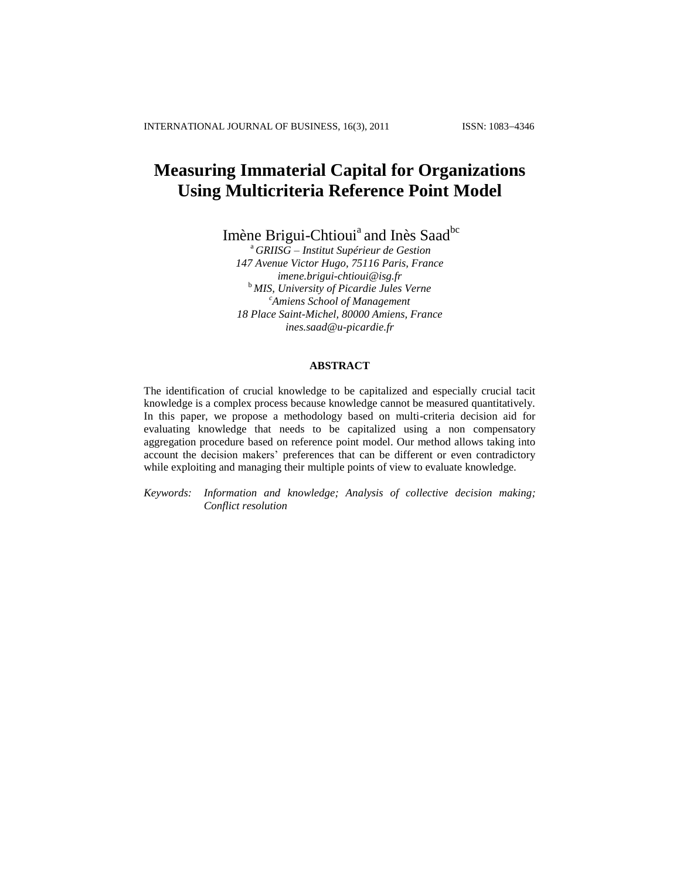INTERNATIONAL JOURNAL OF BUSINESS, 16(3), 2011 ISSN: 1083-4346

# **Measuring Immaterial Capital for Organizations Using Multicriteria Reference Point Model**

Imène Brigui-Chtioui<sup>a</sup> and Inès Saad<sup>bc</sup>

<sup>a</sup> *GRIISG – Institut Supérieur de Gestion 147 Avenue Victor Hugo, 75116 Paris, France [imene.brigui-chtioui@isg.fr](mailto:imene.brigui-chtioui@isg.fr)* <sup>b</sup> *MIS, University of Picardie Jules Verne <sup>c</sup>Amiens School of Management 18 Place Saint-Michel, 80000 Amiens, France [ines.saad@u-picardie.fr](mailto:ines.saad@u-picardie.fr)*

# **ABSTRACT**

The identification of crucial knowledge to be capitalized and especially crucial tacit knowledge is a complex process because knowledge cannot be measured quantitatively. In this paper, we propose a methodology based on multi-criteria decision aid for evaluating knowledge that needs to be capitalized using a non compensatory aggregation procedure based on reference point model. Our method allows taking into account the decision makers' preferences that can be different or even contradictory while exploiting and managing their multiple points of view to evaluate knowledge.

*Keywords: Information and knowledge; Analysis of collective decision making; Conflict resolution*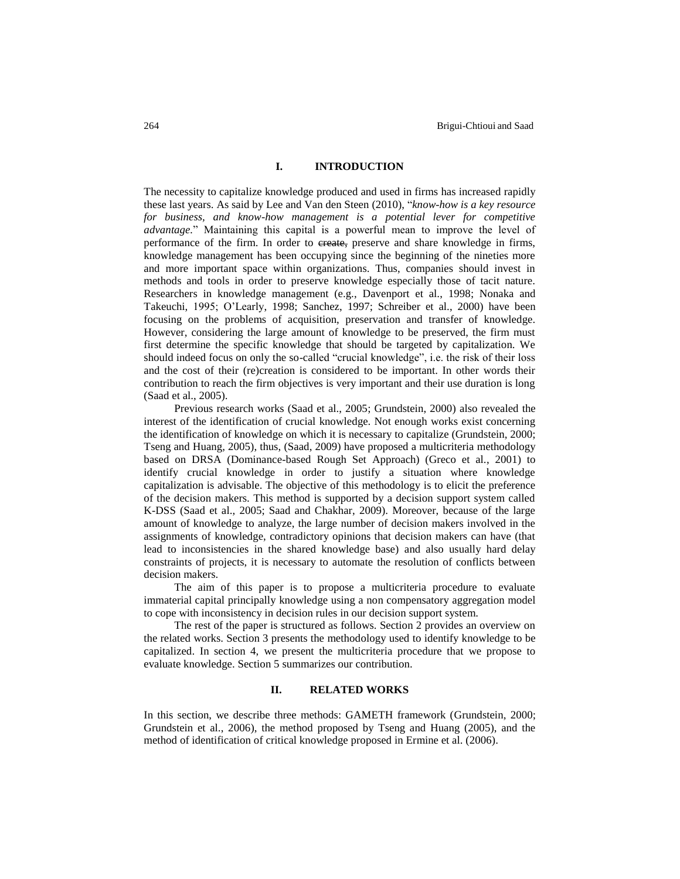# **I. INTRODUCTION**

The necessity to capitalize knowledge produced and used in firms has increased rapidly these last years. As said by Lee and Van den Steen (2010), "*know-how is a key resource for business, and know-how management is a potential lever for competitive advantage.*" Maintaining this capital is a powerful mean to improve the level of performance of the firm. In order to create, preserve and share knowledge in firms, knowledge management has been occupying since the beginning of the nineties more and more important space within organizations. Thus, companies should invest in methods and tools in order to preserve knowledge especially those of tacit nature. Researchers in knowledge management (e.g., Davenport et al., 1998; Nonaka and Takeuchi, 1995; O'Learly, 1998; Sanchez, 1997; Schreiber et al., 2000) have been focusing on the problems of acquisition, preservation and transfer of knowledge. However, considering the large amount of knowledge to be preserved, the firm must first determine the specific knowledge that should be targeted by capitalization. We should indeed focus on only the so-called "crucial knowledge", i.e. the risk of their loss and the cost of their (re)creation is considered to be important. In other words their contribution to reach the firm objectives is very important and their use duration is long (Saad et al., 2005).

Previous research works (Saad et al., 2005; Grundstein, 2000) also revealed the interest of the identification of crucial knowledge. Not enough works exist concerning the identification of knowledge on which it is necessary to capitalize (Grundstein, 2000; Tseng and Huang, 2005), thus, (Saad, 2009) have proposed a multicriteria methodology based on DRSA (Dominance-based Rough Set Approach) (Greco et al., 2001) to identify crucial knowledge in order to justify a situation where knowledge capitalization is advisable. The objective of this methodology is to elicit the preference of the decision makers. This method is supported by a decision support system called K-DSS (Saad et al., 2005; Saad and Chakhar, 2009). Moreover, because of the large amount of knowledge to analyze, the large number of decision makers involved in the assignments of knowledge, contradictory opinions that decision makers can have (that lead to inconsistencies in the shared knowledge base) and also usually hard delay constraints of projects, it is necessary to automate the resolution of conflicts between decision makers.

The aim of this paper is to propose a multicriteria procedure to evaluate immaterial capital principally knowledge using a non compensatory aggregation model to cope with inconsistency in decision rules in our decision support system.

The rest of the paper is structured as follows. Section 2 provides an overview on the related works. Section 3 presents the methodology used to identify knowledge to be capitalized. In section 4, we present the multicriteria procedure that we propose to evaluate knowledge. Section 5 summarizes our contribution.

# **II. RELATED WORKS**

In this section, we describe three methods: GAMETH framework (Grundstein, 2000; Grundstein et al., 2006), the method proposed by Tseng and Huang (2005), and the method of identification of critical knowledge proposed in Ermine et al. (2006).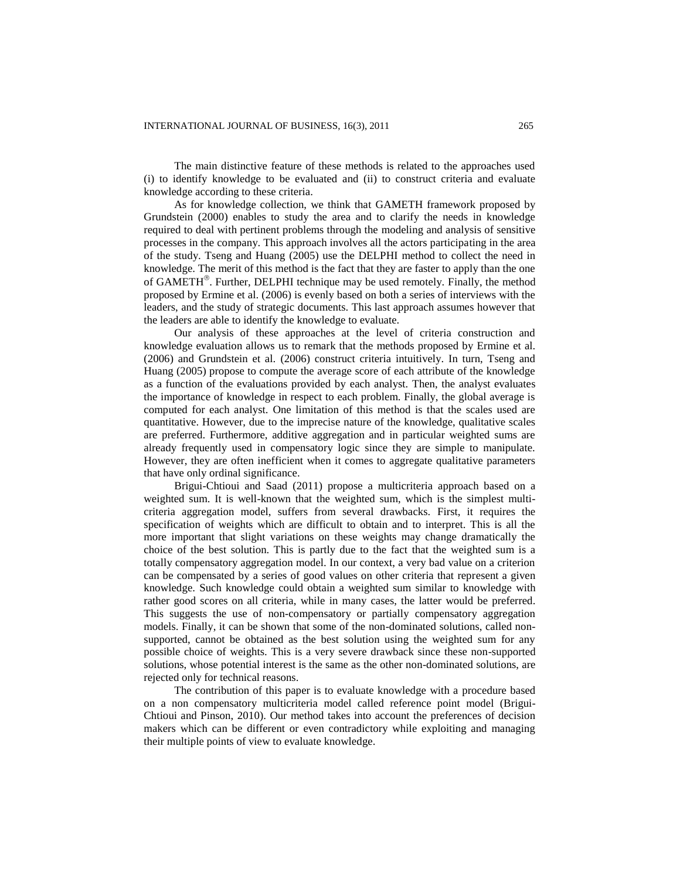The main distinctive feature of these methods is related to the approaches used (i) to identify knowledge to be evaluated and (ii) to construct criteria and evaluate knowledge according to these criteria.

As for knowledge collection, we think that GAMETH framework proposed by Grundstein (2000) enables to study the area and to clarify the needs in knowledge required to deal with pertinent problems through the modeling and analysis of sensitive processes in the company. This approach involves all the actors participating in the area of the study. Tseng and Huang (2005) use the DELPHI method to collect the need in knowledge. The merit of this method is the fact that they are faster to apply than the one of GAMETH<sup>®</sup>. Further, DELPHI technique may be used remotely. Finally, the method proposed by Ermine et al. (2006) is evenly based on both a series of interviews with the leaders, and the study of strategic documents. This last approach assumes however that the leaders are able to identify the knowledge to evaluate.

Our analysis of these approaches at the level of criteria construction and knowledge evaluation allows us to remark that the methods proposed by Ermine et al. (2006) and Grundstein et al. (2006) construct criteria intuitively. In turn, Tseng and Huang (2005) propose to compute the average score of each attribute of the knowledge as a function of the evaluations provided by each analyst. Then, the analyst evaluates the importance of knowledge in respect to each problem. Finally, the global average is computed for each analyst. One limitation of this method is that the scales used are quantitative. However, due to the imprecise nature of the knowledge, qualitative scales are preferred. Furthermore, additive aggregation and in particular weighted sums are already frequently used in compensatory logic since they are simple to manipulate. However, they are often inefficient when it comes to aggregate qualitative parameters that have only ordinal significance.

Brigui-Chtioui and Saad (2011) propose a multicriteria approach based on a weighted sum. It is well-known that the weighted sum, which is the simplest multicriteria aggregation model, suffers from several drawbacks. First, it requires the specification of weights which are difficult to obtain and to interpret. This is all the more important that slight variations on these weights may change dramatically the choice of the best solution. This is partly due to the fact that the weighted sum is a totally compensatory aggregation model. In our context, a very bad value on a criterion can be compensated by a series of good values on other criteria that represent a given knowledge. Such knowledge could obtain a weighted sum similar to knowledge with rather good scores on all criteria, while in many cases, the latter would be preferred. This suggests the use of non-compensatory or partially compensatory aggregation models. Finally, it can be shown that some of the non-dominated solutions, called nonsupported, cannot be obtained as the best solution using the weighted sum for any possible choice of weights. This is a very severe drawback since these non-supported solutions, whose potential interest is the same as the other non-dominated solutions, are rejected only for technical reasons.

The contribution of this paper is to evaluate knowledge with a procedure based on a non compensatory multicriteria model called reference point model (Brigui-Chtioui and Pinson, 2010). Our method takes into account the preferences of decision makers which can be different or even contradictory while exploiting and managing their multiple points of view to evaluate knowledge.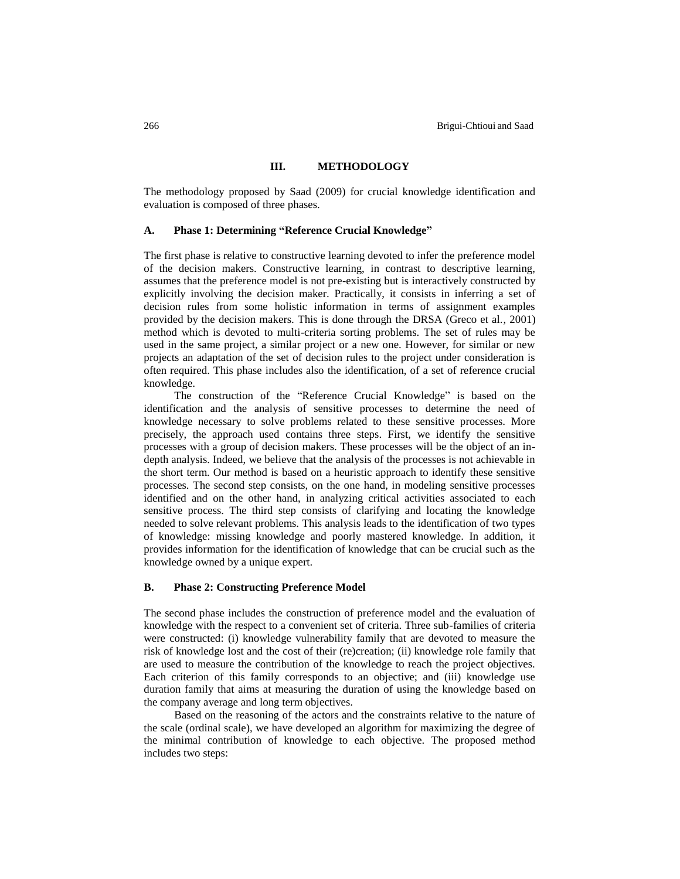## **III. METHODOLOGY**

The methodology proposed by Saad (2009) for crucial knowledge identification and evaluation is composed of three phases.

## **A. Phase 1: Determining "Reference Crucial Knowledge"**

The first phase is relative to constructive learning devoted to infer the preference model of the decision makers. Constructive learning, in contrast to descriptive learning, assumes that the preference model is not pre-existing but is interactively constructed by explicitly involving the decision maker. Practically, it consists in inferring a set of decision rules from some holistic information in terms of assignment examples provided by the decision makers. This is done through the DRSA (Greco et al., 2001) method which is devoted to multi-criteria sorting problems. The set of rules may be used in the same project, a similar project or a new one. However, for similar or new projects an adaptation of the set of decision rules to the project under consideration is often required. This phase includes also the identification, of a set of reference crucial knowledge.

The construction of the "Reference Crucial Knowledge" is based on the identification and the analysis of sensitive processes to determine the need of knowledge necessary to solve problems related to these sensitive processes. More precisely, the approach used contains three steps. First, we identify the sensitive processes with a group of decision makers. These processes will be the object of an indepth analysis. Indeed, we believe that the analysis of the processes is not achievable in the short term. Our method is based on a heuristic approach to identify these sensitive processes. The second step consists, on the one hand, in modeling sensitive processes identified and on the other hand, in analyzing critical activities associated to each sensitive process. The third step consists of clarifying and locating the knowledge needed to solve relevant problems. This analysis leads to the identification of two types of knowledge: missing knowledge and poorly mastered knowledge. In addition, it provides information for the identification of knowledge that can be crucial such as the knowledge owned by a unique expert.

# **B. Phase 2: Constructing Preference Model**

The second phase includes the construction of preference model and the evaluation of knowledge with the respect to a convenient set of criteria. Three sub-families of criteria were constructed: (i) knowledge vulnerability family that are devoted to measure the risk of knowledge lost and the cost of their (re)creation; (ii) knowledge role family that are used to measure the contribution of the knowledge to reach the project objectives. Each criterion of this family corresponds to an objective; and (iii) knowledge use duration family that aims at measuring the duration of using the knowledge based on the company average and long term objectives.

Based on the reasoning of the actors and the constraints relative to the nature of the scale (ordinal scale), we have developed an algorithm for maximizing the degree of the minimal contribution of knowledge to each objective. The proposed method includes two steps: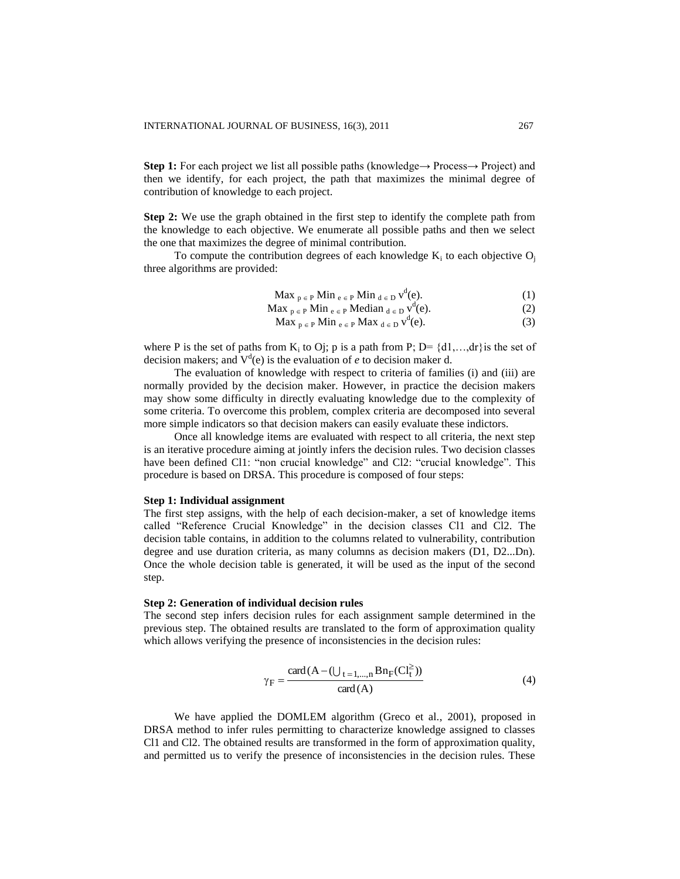**Step 1:** For each project we list all possible paths (knowledge→ Process→ Project) and then we identify, for each project, the path that maximizes the minimal degree of contribution of knowledge to each project.

**Step 2:** We use the graph obtained in the first step to identify the complete path from the knowledge to each objective. We enumerate all possible paths and then we select the one that maximizes the degree of minimal contribution.

To compute the contribution degrees of each knowledge  $K_i$  to each objective  $O_j$ three algorithms are provided:

$$
\text{Max}_{p \in P} \text{Min}_{e \in P} \text{Min}_{d \in D} \text{v}^{d}(e). \tag{1}
$$

$$
\operatorname{Max}_{p \in P} \operatorname{Min}_{e \in P} \operatorname{Median}_{d \in D} v^{d}(e). \tag{2}
$$

 $\text{Max}_{p \in P} \text{Min}_{e \in P} \text{Max}_{d \in D} v^d(e).$  (3)

where P is the set of paths from  $K_i$  to Oj; p is a path from P; D=  $\{d1, ..., dr\}$  is the set of decision makers; and  $V^d$ (e) is the evaluation of *e* to decision maker d.

The evaluation of knowledge with respect to criteria of families (i) and (iii) are normally provided by the decision maker. However, in practice the decision makers may show some difficulty in directly evaluating knowledge due to the complexity of some criteria. To overcome this problem, complex criteria are decomposed into several more simple indicators so that decision makers can easily evaluate these indictors.

Once all knowledge items are evaluated with respect to all criteria, the next step is an iterative procedure aiming at jointly infers the decision rules. Two decision classes have been defined Cl1: "non crucial knowledge" and Cl2: "crucial knowledge". This procedure is based on DRSA. This procedure is composed of four steps:

### **Step 1: Individual assignment**

The first step assigns, with the help of each decision-maker, a set of knowledge items called "Reference Crucial Knowledge" in the decision classes Cl1 and Cl2. The decision table contains, in addition to the columns related to vulnerability, contribution degree and use duration criteria, as many columns as decision makers (D1, D2...Dn). Once the whole decision table is generated, it will be used as the input of the second step.

#### **Step 2: Generation of individual decision rules**

The second step infers decision rules for each assignment sample determined in the previous step. The obtained results are translated to the form of approximation quality which allows verifying the presence of inconsistencies in the decision rules:

$$
\gamma_{\rm F} = \frac{\text{card}\left(\mathbf{A} - \left(\bigcup_{t=1,\dots,n} \text{Bn}_{\rm F}(\mathbf{C}\mathbf{l}_{\rm t}^{\geq}\right)\right)}{\text{card}\left(\mathbf{A}\right)}
$$
(4)

We have applied the DOMLEM algorithm (Greco et al., 2001), proposed in DRSA method to infer rules permitting to characterize knowledge assigned to classes Cl1 and Cl2. The obtained results are transformed in the form of approximation quality, and permitted us to verify the presence of inconsistencies in the decision rules. These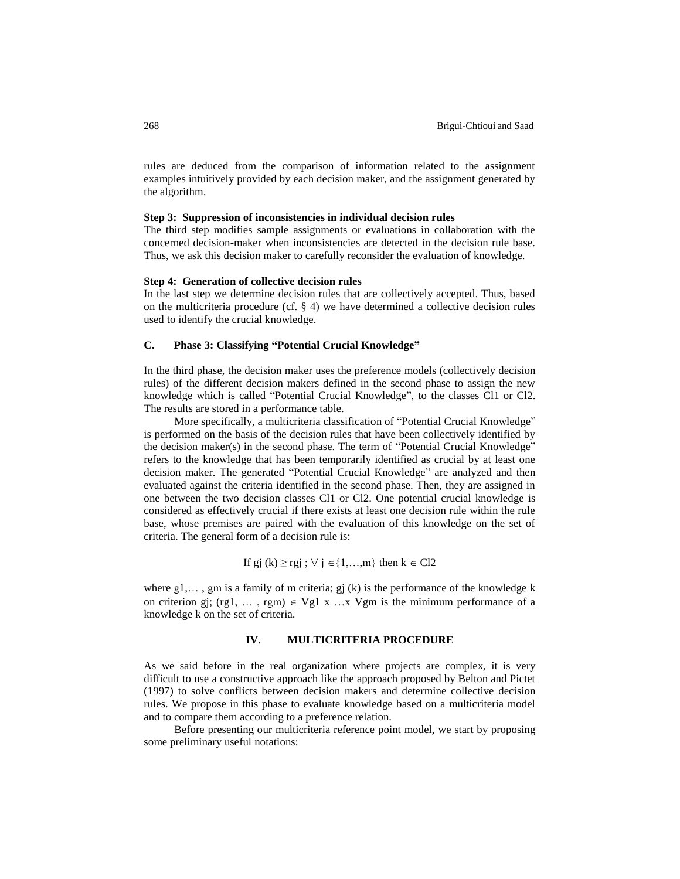rules are deduced from the comparison of information related to the assignment examples intuitively provided by each decision maker, and the assignment generated by the algorithm.

#### **Step 3: Suppression of inconsistencies in individual decision rules**

The third step modifies sample assignments or evaluations in collaboration with the concerned decision-maker when inconsistencies are detected in the decision rule base. Thus, we ask this decision maker to carefully reconsider the evaluation of knowledge.

## **Step 4: Generation of collective decision rules**

In the last step we determine decision rules that are collectively accepted. Thus, based on the multicriteria procedure (cf.  $\S$  4) we have determined a collective decision rules used to identify the crucial knowledge.

# **C. Phase 3: Classifying "Potential Crucial Knowledge"**

In the third phase, the decision maker uses the preference models (collectively decision rules) of the different decision makers defined in the second phase to assign the new knowledge which is called "Potential Crucial Knowledge", to the classes Cl1 or Cl2. The results are stored in a performance table.

More specifically, a multicriteria classification of "Potential Crucial Knowledge" is performed on the basis of the decision rules that have been collectively identified by the decision maker(s) in the second phase. The term of "Potential Crucial Knowledge" refers to the knowledge that has been temporarily identified as crucial by at least one decision maker. The generated "Potential Crucial Knowledge" are analyzed and then evaluated against the criteria identified in the second phase. Then, they are assigned in one between the two decision classes Cl1 or Cl2. One potential crucial knowledge is considered as effectively crucial if there exists at least one decision rule within the rule base, whose premises are paired with the evaluation of this knowledge on the set of criteria. The general form of a decision rule is:

If gj (k)  $\ge$  rgj ;  $\forall$  j  $\in$  {1,...,m} then k  $\in$  Cl2

where  $g_1, \ldots, g_m$  is a family of m criteria;  $g_j(k)$  is the performance of the knowledge k on criterion gj; (rg1, ..., rgm)  $\in$  Vg1 x ...x Vgm is the minimum performance of a knowledge k on the set of criteria.

# **IV. MULTICRITERIA PROCEDURE**

As we said before in the real organization where projects are complex, it is very difficult to use a constructive approach like the approach proposed by Belton and Pictet (1997) to solve conflicts between decision makers and determine collective decision rules. We propose in this phase to evaluate knowledge based on a multicriteria model and to compare them according to a preference relation.

Before presenting our multicriteria reference point model, we start by proposing some preliminary useful notations: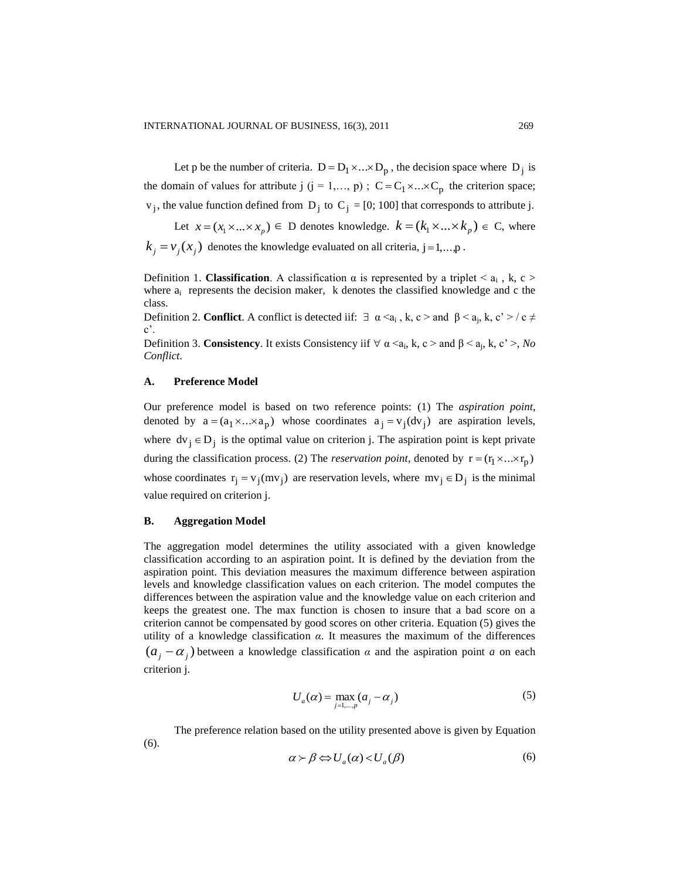Let p be the number of criteria.  $D = D_1 \times ... \times D_p$ , the decision space where  $D_j$  is the domain of values for attribute  $j$  ( $j = 1,..., p$ );  $C = C_1 \times ... \times C_p$  the criterion space;  $v_j$ , the value function defined from  $D_j$  to  $C_j = [0; 100]$  that corresponds to attribute j.

Let  $x = (x_1 \times ... \times x_p) \in D$  denotes knowledge.  $k = (k_1 \times ... \times k_p) \in C$ , where

 $k_j = v_j(x_j)$  denotes the knowledge evaluated on all criteria,  $j = 1,...,p$ .

Definition 1. **Classification**. A classification  $\alpha$  is represented by a triplet  $\leq a_i$ , k, c  $\geq$ where  $a_i$  represents the decision maker, k denotes the classified knowledge and c the class.

Definition 2. **Conflict**. A conflict is detected iif:  $\exists \alpha \leq a_i$ , k, c > and  $\beta \leq a_i$ , k, c > / c  $\neq$ c'.

Definition 3. **Consistency**. It exists Consistency iif  $\forall \alpha \leq a_i, k, c >$  and  $\beta \leq a_j, k, c^* >$ , *No Conflict*.

# **A. Preference Model**

Our preference model is based on two reference points: (1) The *aspiration point*, denoted by  $a = (a_1 \times ... \times a_p)$  whose coordinates  $a_j = v_j (dv_j)$  are aspiration levels, where  $dv_j \in D_j$  is the optimal value on criterion j. The aspiration point is kept private during the classification process. (2) The *reservation point*, denoted by  $r = (r_1 \times ... \times r_p)$ whose coordinates  $r_j = v_j(mv_j)$  are reservation levels, where  $mv_j \in D_j$  is the minimal value required on criterion j.

## **B. Aggregation Model**

The aggregation model determines the utility associated with a given knowledge classification according to an aspiration point. It is defined by the deviation from the aspiration point. This deviation measures the maximum difference between aspiration levels and knowledge classification values on each criterion. The model computes the differences between the aspiration value and the knowledge value on each criterion and keeps the greatest one. The max function is chosen to insure that a bad score on a criterion cannot be compensated by good scores on other criteria. Equation (5) gives the utility of a knowledge classification  $\alpha$ . It measures the maximum of the differences  $(a_j - a_j)$  between a knowledge classification  $\alpha$  and the aspiration point  $\alpha$  on each criterion j.

$$
U_a(\alpha) = \max_{j=1,\dots,p} (a_j - \alpha_j)
$$
 (5)

The preference relation based on the utility presented above is given by Equation (6).

$$
\alpha \succ \beta \Leftrightarrow U_a(\alpha) < U_a(\beta) \tag{6}
$$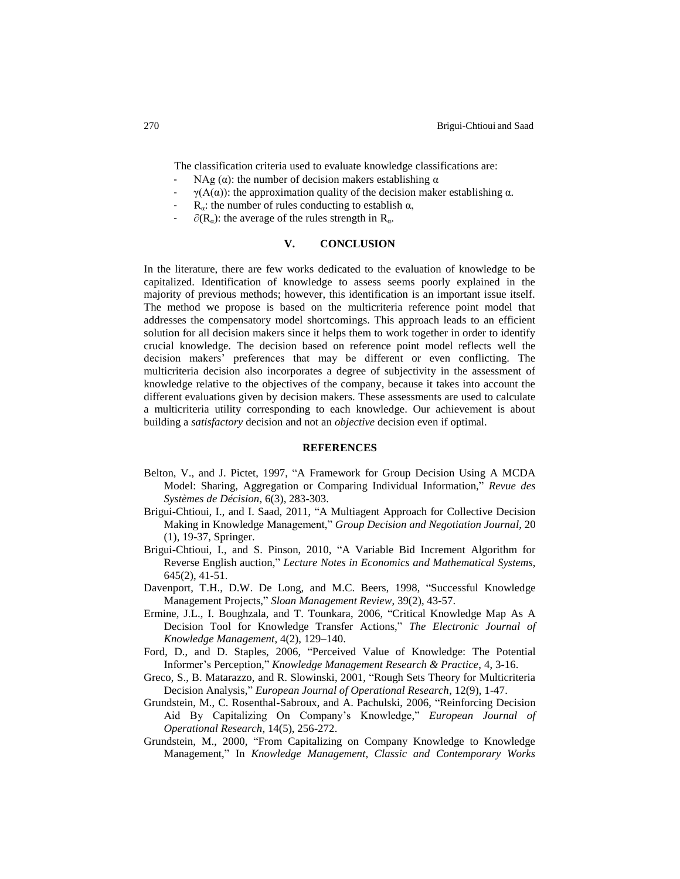The classification criteria used to evaluate knowledge classifications are:

- NAg  $(\alpha)$ : the number of decision makers establishing  $\alpha$
- $\gamma(A(\alpha))$ : the approximation quality of the decision maker establishing  $\alpha$ .
- $R_{\alpha}$ : the number of rules conducting to establish  $\alpha$ ,
- $\partial(R_{\alpha})$ : the average of the rules strength in  $R_{\alpha}$ .

# **V. CONCLUSION**

In the literature, there are few works dedicated to the evaluation of knowledge to be capitalized. Identification of knowledge to assess seems poorly explained in the majority of previous methods; however, this identification is an important issue itself. The method we propose is based on the multicriteria reference point model that addresses the compensatory model shortcomings. This approach leads to an efficient solution for all decision makers since it helps them to work together in order to identify crucial knowledge. The decision based on reference point model reflects well the decision makers' preferences that may be different or even conflicting. The multicriteria decision also incorporates a degree of subjectivity in the assessment of knowledge relative to the objectives of the company, because it takes into account the different evaluations given by decision makers. These assessments are used to calculate a multicriteria utility corresponding to each knowledge. Our achievement is about building a *satisfactory* decision and not an *objective* decision even if optimal.

## **REFERENCES**

- Belton, V., and J. Pictet, 1997, "A Framework for Group Decision Using A MCDA Model: Sharing, Aggregation or Comparing Individual Information," *Revue des Systèmes de Décision*, 6(3), 283-303.
- Brigui-Chtioui, I., and I. Saad, 2011, "A Multiagent Approach for Collective Decision Making in Knowledge Management," *Group Decision and Negotiation Journal*, 20 (1), 19-37, Springer.
- Brigui-Chtioui, I., and S. Pinson, 2010, "A Variable Bid Increment Algorithm for Reverse English auction," *Lecture Notes in Economics and Mathematical Systems*, 645(2), 41-51.
- Davenport, T.H., D.W. De Long, and M.C. Beers, 1998, "Successful Knowledge Management Projects," *Sloan Management Review*, 39(2), 43-57.
- Ermine, J.L., I. Boughzala, and T. Tounkara, 2006, "Critical Knowledge Map As A Decision Tool for Knowledge Transfer Actions," *The Electronic Journal of Knowledge Management*, 4(2), 129–140.
- Ford, D., and D. Staples, 2006, "Perceived Value of Knowledge: The Potential Informer's Perception," *Knowledge Management Research & Practice*, 4, 3-16.
- Greco, S., B. Matarazzo, and R. Slowinski, 2001, "Rough Sets Theory for Multicriteria Decision Analysis," *European Journal of Operational Research*, 12(9), 1-47.
- Grundstein, M., C. Rosenthal-Sabroux, and A. Pachulski, 2006, "Reinforcing Decision Aid By Capitalizing On Company's Knowledge," *European Journal of Operational Research*, 14(5), 256-272.
- Grundstein, M., 2000, "From Capitalizing on Company Knowledge to Knowledge Management," In *Knowledge Management, Classic and Contemporary Works*